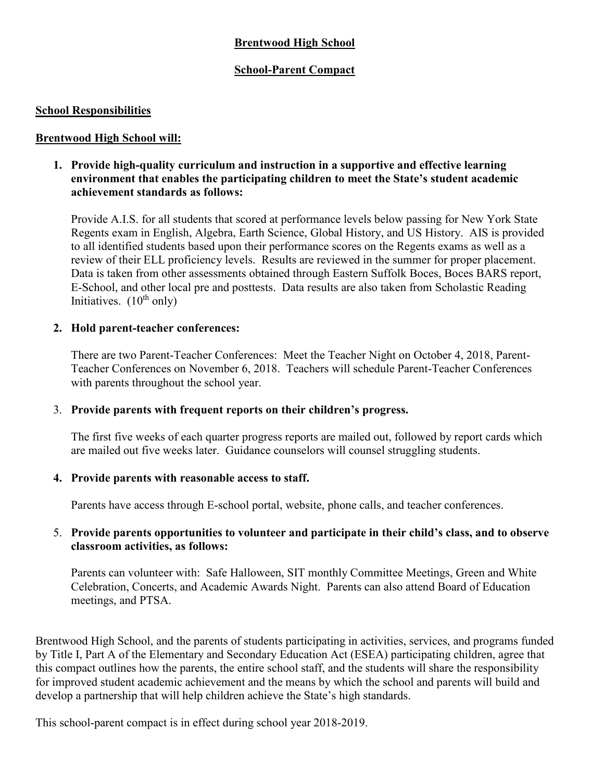# **Brentwood High School**

# **School-Parent Compact**

## **School Responsibilities**

## **Brentwood High School will:**

## **1. Provide high-quality curriculum and instruction in a supportive and effective learning environment that enables the participating children to meet the State's student academic achievement standards as follows:**

Provide A.I.S. for all students that scored at performance levels below passing for New York State Regents exam in English, Algebra, Earth Science, Global History, and US History. AIS is provided to all identified students based upon their performance scores on the Regents exams as well as a review of their ELL proficiency levels. Results are reviewed in the summer for proper placement. Data is taken from other assessments obtained through Eastern Suffolk Boces, Boces BARS report, E-School, and other local pre and posttests. Data results are also taken from Scholastic Reading Initiatives.  $(10^{th}$  only)

#### **2. Hold parent-teacher conferences:**

There are two Parent-Teacher Conferences: Meet the Teacher Night on October 4, 2018, Parent-Teacher Conferences on November 6, 2018. Teachers will schedule Parent-Teacher Conferences with parents throughout the school year.

#### 3. **Provide parents with frequent reports on their children's progress.**

The first five weeks of each quarter progress reports are mailed out, followed by report cards which are mailed out five weeks later. Guidance counselors will counsel struggling students.

#### **4. Provide parents with reasonable access to staff.**

Parents have access through E-school portal, website, phone calls, and teacher conferences.

## 5. **Provide parents opportunities to volunteer and participate in their child's class, and to observe classroom activities, as follows:**

Parents can volunteer with: Safe Halloween, SIT monthly Committee Meetings, Green and White Celebration, Concerts, and Academic Awards Night. Parents can also attend Board of Education meetings, and PTSA.

Brentwood High School, and the parents of students participating in activities, services, and programs funded by Title I, Part A of the Elementary and Secondary Education Act (ESEA) participating children, agree that this compact outlines how the parents, the entire school staff, and the students will share the responsibility for improved student academic achievement and the means by which the school and parents will build and develop a partnership that will help children achieve the State's high standards.

This school-parent compact is in effect during school year 2018-2019.